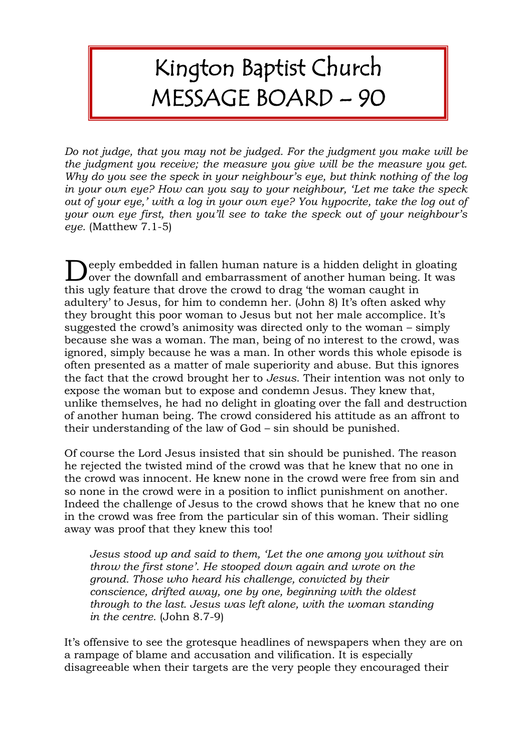## Kington Baptist Church MESSAGE BOARD – 90

*Do not judge, that you may not be judged. For the judgment you make will be the judgment you receive; the measure you give will be the measure you get. Why do you see the speck in your neighbour's eye, but think nothing of the log in your own eye? How can you say to your neighbour, 'Let me take the speck out of your eye,' with a log in your own eye? You hypocrite, take the log out of your own eye first, then you'll see to take the speck out of your neighbour's eye.* (Matthew 7.1-5)

 $\sum \text{eeply embedded in fallen human nature is a hidden delight in gloating over the downfall and enharrassment of another human being. It was$ over the downfall and embarrassment of another human being. It was this ugly feature that drove the crowd to drag 'the woman caught in adultery' to Jesus, for him to condemn her. (John 8) It's often asked why they brought this poor woman to Jesus but not her male accomplice. It's suggested the crowd's animosity was directed only to the woman – simply because she was a woman. The man, being of no interest to the crowd, was ignored, simply because he was a man. In other words this whole episode is often presented as a matter of male superiority and abuse. But this ignores the fact that the crowd brought her to *Jesus*. Their intention was not only to expose the woman but to expose and condemn Jesus. They knew that, unlike themselves, he had no delight in gloating over the fall and destruction of another human being. The crowd considered his attitude as an affront to their understanding of the law of God – sin should be punished.

Of course the Lord Jesus insisted that sin should be punished. The reason he rejected the twisted mind of the crowd was that he knew that no one in the crowd was innocent. He knew none in the crowd were free from sin and so none in the crowd were in a position to inflict punishment on another. Indeed the challenge of Jesus to the crowd shows that he knew that no one in the crowd was free from the particular sin of this woman. Their sidling away was proof that they knew this too!

*Jesus stood up and said to them, 'Let the one among you without sin throw the first stone'. He stooped down again and wrote on the ground. Those who heard his challenge, convicted by their conscience, drifted away, one by one, beginning with the oldest through to the last. Jesus was left alone, with the woman standing in the centre.* (John 8.7-9)

It's offensive to see the grotesque headlines of newspapers when they are on a rampage of blame and accusation and vilification. It is especially disagreeable when their targets are the very people they encouraged their